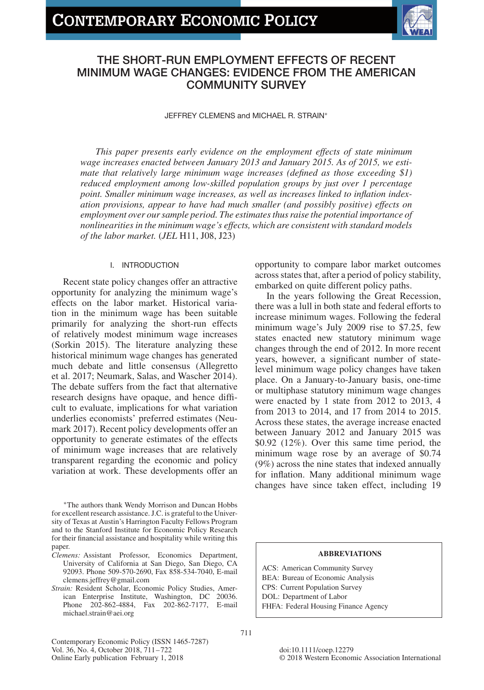# **CONTEMPORARY ECONOMIC POLICY**



## **THE SHORT-RUN EMPLOYMENT EFFECTS OF RECENT MINIMUM WAGE CHANGES: EVIDENCE FROM THE AMERICAN COMMUNITY SURVEY**

JEFFREY CLEMENS and MICHAEL R. STRAIN<sup>∗</sup>

*This paper presents early evidence on the employment effects of state minimum wage increases enacted between January 2013 and January 2015. As of 2015, we estimate that relatively large minimum wage increases (defined as those exceeding \$1) reduced employment among low-skilled population groups by just over 1 percentage point. Smaller minimum wage increases, as well as increases linked to inflation indexation provisions, appear to have had much smaller (and possibly positive) effects on employment over our sample period. The estimates thus raise the potential importance of nonlinearities in the minimum wage's effects, which are consistent with standard models of the labor market.* (*JEL* H11, J08, J23)

## I. INTRODUCTION

Recent state policy changes offer an attractive opportunity for analyzing the minimum wage's effects on the labor market. Historical variation in the minimum wage has been suitable primarily for analyzing the short-run effects of relatively modest minimum wage increases (Sorkin 2015). The literature analyzing these historical minimum wage changes has generated much debate and little consensus (Allegretto et al. 2017; Neumark, Salas, and Wascher 2014). The debate suffers from the fact that alternative research designs have opaque, and hence difficult to evaluate, implications for what variation underlies economists' preferred estimates (Neumark 2017). Recent policy developments offer an opportunity to generate estimates of the effects of minimum wage increases that are relatively transparent regarding the economic and policy variation at work. These developments offer an

<sup>∗</sup>The authors thank Wendy Morrison and Duncan Hobbs for excellent research assistance. J.C. is grateful to the University of Texas at Austin's Harrington Faculty Fellows Program and to the Stanford Institute for Economic Policy Research for their financial assistance and hospitality while writing this paper.

- *Clemens:* Assistant Professor, Economics Department, University of California at San Diego, San Diego, CA 92093. Phone 509-570-2690, Fax 858-534-7040, E-mail clemens.jeffrey@gmail.com
- *Strain:* Resident Scholar, Economic Policy Studies, American Enterprise Institute, Washington, DC 20036. Phone 202-862-4884, Fax 202-862-7177, E-mail michael.strain@aei.org

Contemporary Economic Policy (ISSN 1465-7287) Vol. 36, No. 4, October 2018, 711–722 Online Early publication February 1, 2018

opportunity to compare labor market outcomes across states that, after a period of policy stability, embarked on quite different policy paths.

In the years following the Great Recession, there was a lull in both state and federal efforts to increase minimum wages. Following the federal minimum wage's July 2009 rise to \$7.25, few states enacted new statutory minimum wage changes through the end of 2012. In more recent years, however, a significant number of statelevel minimum wage policy changes have taken place. On a January-to-January basis, one-time or multiphase statutory minimum wage changes were enacted by 1 state from 2012 to 2013, 4 from 2013 to 2014, and 17 from 2014 to 2015. Across these states, the average increase enacted between January 2012 and January 2015 was \$0.92 (12%). Over this same time period, the minimum wage rose by an average of \$0.74 (9%) across the nine states that indexed annually for inflation. Many additional minimum wage changes have since taken effect, including 19

## **ABBREVIATIONS**

ACS: American Community Survey BEA: Bureau of Economic Analysis CPS: Current Population Survey DOL: Department of Labor FHFA: Federal Housing Finance Agency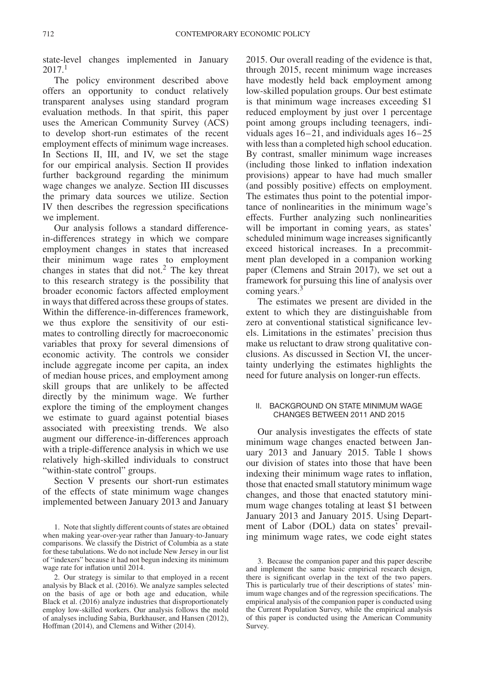state-level changes implemented in January 2017.[1](#page-1-0)

The policy environment described above offers an opportunity to conduct relatively transparent analyses using standard program evaluation methods. In that spirit, this paper uses the American Community Survey (ACS) to develop short-run estimates of the recent employment effects of minimum wage increases. In Sections II, III, and IV, we set the stage for our empirical analysis. Section II provides further background regarding the minimum wage changes we analyze. Section III discusses the primary data sources we utilize. Section IV then describes the regression specifications we implement.

Our analysis follows a standard differencein-differences strategy in which we compare employment changes in states that increased their minimum wage rates to employment changes in states that did not.[2](#page-1-1) The key threat to this research strategy is the possibility that broader economic factors affected employment in ways that differed across these groups of states. Within the difference-in-differences framework, we thus explore the sensitivity of our estimates to controlling directly for macroeconomic variables that proxy for several dimensions of economic activity. The controls we consider include aggregate income per capita, an index of median house prices, and employment among skill groups that are unlikely to be affected directly by the minimum wage. We further explore the timing of the employment changes we estimate to guard against potential biases associated with preexisting trends. We also augment our difference-in-differences approach with a triple-difference analysis in which we use relatively high-skilled individuals to construct "within-state control" groups.

Section V presents our short-run estimates of the effects of state minimum wage changes implemented between January 2013 and January 2015. Our overall reading of the evidence is that, through 2015, recent minimum wage increases have modestly held back employment among low-skilled population groups. Our best estimate is that minimum wage increases exceeding \$1 reduced employment by just over 1 percentage point among groups including teenagers, individuals ages 16–21, and individuals ages 16–25 with less than a completed high school education. By contrast, smaller minimum wage increases (including those linked to inflation indexation provisions) appear to have had much smaller (and possibly positive) effects on employment. The estimates thus point to the potential importance of nonlinearities in the minimum wage's effects. Further analyzing such nonlinearities will be important in coming years, as states' scheduled minimum wage increases significantly exceed historical increases. In a precommitment plan developed in a companion working paper (Clemens and Strain 2017), we set out a framework for pursuing this line of analysis over coming years.<sup>3</sup>

The estimates we present are divided in the extent to which they are distinguishable from zero at conventional statistical significance levels. Limitations in the estimates' precision thus make us reluctant to draw strong qualitative conclusions. As discussed in Section VI, the uncertainty underlying the estimates highlights the need for future analysis on longer-run effects.

## II. BACKGROUND ON STATE MINIMUM WAGE CHANGES BETWEEN 2011 AND 2015

Our analysis investigates the effects of state minimum wage changes enacted between January 2013 and January 2015. Table 1 shows our division of states into those that have been indexing their minimum wage rates to inflation, those that enacted small statutory minimum wage changes, and those that enacted statutory minimum wage changes totaling at least \$1 between January 2013 and January 2015. Using Department of Labor (DOL) data on states' prevailing minimum wage rates, we code eight states

<span id="page-1-0"></span><sup>1.</sup> Note that slightly different counts of states are obtained when making year-over-year rather than January-to-January comparisons. We classify the District of Columbia as a state for these tabulations. We do not include New Jersey in our list of "indexers" because it had not begun indexing its minimum wage rate for inflation until 2014.

<span id="page-1-1"></span><sup>2.</sup> Our strategy is similar to that employed in a recent analysis by Black et al. (2016). We analyze samples selected on the basis of age or both age and education, while Black et al. (2016) analyze industries that disproportionately employ low-skilled workers. Our analysis follows the mold of analyses including Sabia, Burkhauser, and Hansen (2012), Hoffman (2014), and Clemens and Wither (2014).

<span id="page-1-2"></span><sup>3.</sup> Because the companion paper and this paper describe and implement the same basic empirical research design, there is significant overlap in the text of the two papers. This is particularly true of their descriptions of states' minimum wage changes and of the regression specifications. The empirical analysis of the companion paper is conducted using the Current Population Survey, while the empirical analysis of this paper is conducted using the American Community Survey.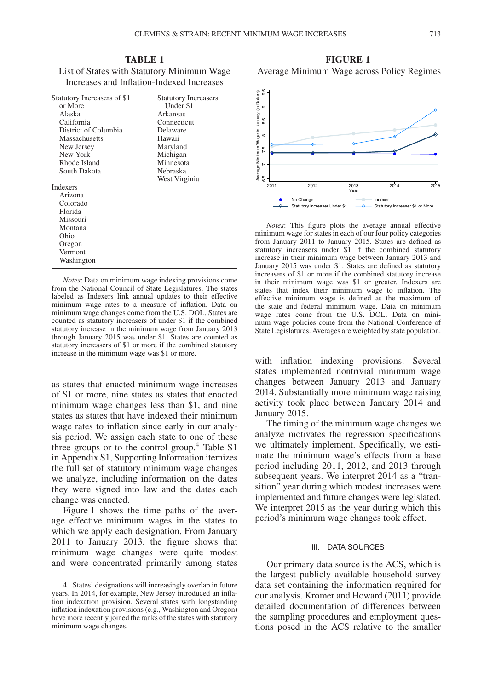**TABLE 1** List of States with Statutory Minimum Wage Increases and Inflation-Indexed Increases

| Statutory Increasers of \$1 | <b>Statutory Increasers</b> |
|-----------------------------|-----------------------------|
| or More                     | Under \$1                   |
| Alaska                      | Arkansas                    |
| California                  | Connecticut                 |
| District of Columbia        | Delaware                    |
| Massachusetts               | Hawaii                      |
|                             |                             |
| New Jersey                  | Maryland                    |
| New York                    | Michigan                    |
| Rhode Island                | Minnesota                   |
| South Dakota                | Nebraska                    |
|                             | West Virginia               |
| <b>Indexers</b>             |                             |
| Arizona                     |                             |
| Colorado                    |                             |
| Florida                     |                             |
| Missouri                    |                             |
| Montana                     |                             |
| Ohio                        |                             |
| Oregon                      |                             |
| Vermont                     |                             |
| Washington                  |                             |

*Notes*: Data on minimum wage indexing provisions come from the National Council of State Legislatures. The states labeled as Indexers link annual updates to their effective minimum wage rates to a measure of inflation. Data on minimum wage changes come from the U.S. DOL. States are counted as statutory increasers of under \$1 if the combined statutory increase in the minimum wage from January 2013 through January 2015 was under \$1. States are counted as statutory increasers of \$1 or more if the combined statutory increase in the minimum wage was \$1 or more.

as states that enacted minimum wage increases of \$1 or more, nine states as states that enacted minimum wage changes less than \$1, and nine states as states that have indexed their minimum wage rates to inflation since early in our analysis period. We assign each state to one of these three groups or to the control group.<sup>[4](#page-2-0)</sup> Table S1 in Appendix S1, Supporting Information itemizes the full set of statutory minimum wage changes we analyze, including information on the dates they were signed into law and the dates each change was enacted.

Figure 1 shows the time paths of the average effective minimum wages in the states to which we apply each designation. From January 2011 to January 2013, the figure shows that minimum wage changes were quite modest and were concentrated primarily among states

**FIGURE 1** Average Minimum Wage across Policy Regimes



*Notes*: This figure plots the average annual effective minimum wage for states in each of our four policy categories from January 2011 to January 2015. States are defined as statutory increasers under \$1 if the combined statutory increase in their minimum wage between January 2013 and January 2015 was under \$1. States are defined as statutory increasers of \$1 or more if the combined statutory increase in their minimum wage was \$1 or greater. Indexers are states that index their minimum wage to inflation. The effective minimum wage is defined as the maximum of the state and federal minimum wage. Data on minimum wage rates come from the U.S. DOL. Data on minimum wage policies come from the National Conference of State Legislatures. Averages are weighted by state population.

with inflation indexing provisions. Several states implemented nontrivial minimum wage changes between January 2013 and January 2014. Substantially more minimum wage raising activity took place between January 2014 and January 2015.

The timing of the minimum wage changes we analyze motivates the regression specifications we ultimately implement. Specifically, we estimate the minimum wage's effects from a base period including 2011, 2012, and 2013 through subsequent years. We interpret 2014 as a "transition" year during which modest increases were implemented and future changes were legislated. We interpret 2015 as the year during which this period's minimum wage changes took effect.

## III. DATA SOURCES

Our primary data source is the ACS, which is the largest publicly available household survey data set containing the information required for our analysis. Kromer and Howard (2011) provide detailed documentation of differences between the sampling procedures and employment questions posed in the ACS relative to the smaller

<span id="page-2-0"></span><sup>4.</sup> States' designations will increasingly overlap in future years. In 2014, for example, New Jersey introduced an inflation indexation provision. Several states with longstanding inflation indexation provisions (e.g., Washington and Oregon) have more recently joined the ranks of the states with statutory minimum wage changes.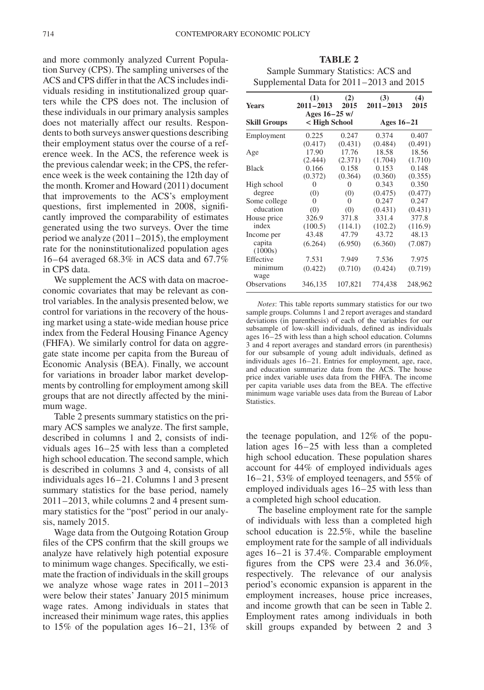and more commonly analyzed Current Population Survey (CPS). The sampling universes of the ACS and CPS differ in that the ACS includes individuals residing in institutionalized group quarters while the CPS does not. The inclusion of these individuals in our primary analysis samples does not materially affect our results. Respondents to both surveys answer questions describing their employment status over the course of a reference week. In the ACS, the reference week is the previous calendar week; in the CPS, the reference week is the week containing the 12th day of the month. Kromer and Howard (2011) document that improvements to the ACS's employment questions, first implemented in 2008, significantly improved the comparability of estimates generated using the two surveys. Over the time period we analyze (2011–2015), the employment rate for the noninstitutionalized population ages 16–64 averaged 68.3% in ACS data and 67.7% in CPS data.

We supplement the ACS with data on macroeconomic covariates that may be relevant as control variables. In the analysis presented below, we control for variations in the recovery of the housing market using a state-wide median house price index from the Federal Housing Finance Agency (FHFA). We similarly control for data on aggregate state income per capita from the Bureau of Economic Analysis (BEA). Finally, we account for variations in broader labor market developments by controlling for employment among skill groups that are not directly affected by the minimum wage.

Table 2 presents summary statistics on the primary ACS samples we analyze. The first sample, described in columns 1 and 2, consists of individuals ages 16–25 with less than a completed high school education. The second sample, which is described in columns 3 and 4, consists of all individuals ages 16–21. Columns 1 and 3 present summary statistics for the base period, namely 2011–2013, while columns 2 and 4 present summary statistics for the "post" period in our analysis, namely 2015.

Wage data from the Outgoing Rotation Group files of the CPS confirm that the skill groups we analyze have relatively high potential exposure to minimum wage changes. Specifically, we estimate the fraction of individuals in the skill groups we analyze whose wage rates in 2011–2013 were below their states' January 2015 minimum wage rates. Among individuals in states that increased their minimum wage rates, this applies to 15% of the population ages 16–21, 13% of

**TABLE 2** Sample Summary Statistics: ACS and Supplemental Data for 2011–2013 and 2015

| Years                | (1)                              | (2)     | (3)           | (4)     |  |  |
|----------------------|----------------------------------|---------|---------------|---------|--|--|
|                      | $2011 - 2013$                    | 2015    | $2011 - 2013$ | 2015    |  |  |
| <b>Skill Groups</b>  | Ages $16-25$ w/<br>< High School |         | Ages $16-21$  |         |  |  |
| Employment           | 0.225                            | 0.247   | 0.374         | 0.407   |  |  |
|                      | (0.417)                          | (0.431) | (0.484)       | (0.491) |  |  |
| Age                  | 17.90                            | 17.76   | 18.58         | 18.56   |  |  |
|                      | (2.444)                          | (2.371) | (1.704)       | (1.710) |  |  |
| <b>Black</b>         | 0.166                            | 0.158   | 0.153         | 0.148   |  |  |
|                      | (0.372)                          | (0.364) | (0.360)       | (0.355) |  |  |
| High school          | 0                                | 0       | 0.343         | 0.350   |  |  |
| degree               | (0)                              | (0)     | (0.475)       | (0.477) |  |  |
| Some college         | $\Omega$                         | 0       | 0.247         | 0.247   |  |  |
| education            | (0)                              | (0)     | (0.431)       | (0.431) |  |  |
| House price          | 326.9                            | 371.8   | 331.4         | 377.8   |  |  |
| index                | (100.5)                          | (114.1) | (102.2)       | (116.9) |  |  |
| Income per           | 43.48                            | 47.79   | 43.72         | 48.13   |  |  |
| capita               | (6.264)                          | (6.950) | (6.360)       | (7.087) |  |  |
| (1000s)<br>Effective | 7.531                            | 7.949   | 7.536         | 7.975   |  |  |
| minimum<br>wage      | (0.422)                          | (0.710) | (0.424)       | (0.719) |  |  |
| <b>Observations</b>  | 346,135                          | 107,821 | 774,438       | 248,962 |  |  |

*Notes*: This table reports summary statistics for our two sample groups. Columns 1 and 2 report averages and standard deviations (in parenthesis) of each of the variables for our subsample of low-skill individuals, defined as individuals ages 16–25 with less than a high school education. Columns 3 and 4 report averages and standard errors (in parenthesis) for our subsample of young adult individuals, defined as individuals ages 16–21. Entries for employment, age, race, and education summarize data from the ACS. The house price index variable uses data from the FHFA. The income per capita variable uses data from the BEA. The effective minimum wage variable uses data from the Bureau of Labor Statistics.

the teenage population, and 12% of the population ages 16–25 with less than a completed high school education. These population shares account for 44% of employed individuals ages 16–21, 53% of employed teenagers, and 55% of employed individuals ages 16–25 with less than a completed high school education.

The baseline employment rate for the sample of individuals with less than a completed high school education is 22.5%, while the baseline employment rate for the sample of all individuals ages 16–21 is 37.4%. Comparable employment figures from the CPS were 23.4 and 36.0%, respectively. The relevance of our analysis period's economic expansion is apparent in the employment increases, house price increases, and income growth that can be seen in Table 2. Employment rates among individuals in both skill groups expanded by between 2 and 3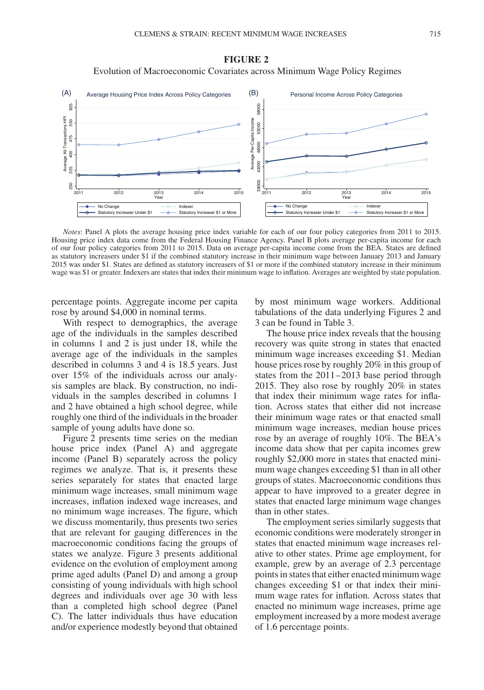## **FIGURE 2**

Evolution of Macroeconomic Covariates across Minimum Wage Policy Regimes



*Notes*: Panel A plots the average housing price index variable for each of our four policy categories from 2011 to 2015. Housing price index data come from the Federal Housing Finance Agency. Panel B plots average per-capita income for each of our four policy categories from 2011 to 2015. Data on average per-capita income come from the BEA. States are defined as statutory increasers under \$1 if the combined statutory increase in their minimum wage between January 2013 and January 2015 was under \$1. States are defined as statutory increasers of \$1 or more if the combined statutory increase in their minimum wage was \$1 or greater. Indexers are states that index their minimum wage to inflation. Averages are weighted by state population.

percentage points. Aggregate income per capita rose by around \$4,000 in nominal terms.

With respect to demographics, the average age of the individuals in the samples described in columns 1 and 2 is just under 18, while the average age of the individuals in the samples described in columns 3 and 4 is 18.5 years. Just over 15% of the individuals across our analysis samples are black. By construction, no individuals in the samples described in columns 1 and 2 have obtained a high school degree, while roughly one third of the individuals in the broader sample of young adults have done so.

Figure 2 presents time series on the median house price index (Panel A) and aggregate income (Panel B) separately across the policy regimes we analyze. That is, it presents these series separately for states that enacted large minimum wage increases, small minimum wage increases, inflation indexed wage increases, and no minimum wage increases. The figure, which we discuss momentarily, thus presents two series that are relevant for gauging differences in the macroeconomic conditions facing the groups of states we analyze. Figure 3 presents additional evidence on the evolution of employment among prime aged adults (Panel D) and among a group consisting of young individuals with high school degrees and individuals over age 30 with less than a completed high school degree (Panel C). The latter individuals thus have education and/or experience modestly beyond that obtained by most minimum wage workers. Additional tabulations of the data underlying Figures 2 and 3 can be found in Table 3.

The house price index reveals that the housing recovery was quite strong in states that enacted minimum wage increases exceeding \$1. Median house prices rose by roughly 20% in this group of states from the 2011–2013 base period through 2015. They also rose by roughly 20% in states that index their minimum wage rates for inflation. Across states that either did not increase their minimum wage rates or that enacted small minimum wage increases, median house prices rose by an average of roughly 10%. The BEA's income data show that per capita incomes grew roughly \$2,000 more in states that enacted minimum wage changes exceeding \$1 than in all other groups of states. Macroeconomic conditions thus appear to have improved to a greater degree in states that enacted large minimum wage changes than in other states.

The employment series similarly suggests that economic conditions were moderately stronger in states that enacted minimum wage increases relative to other states. Prime age employment, for example, grew by an average of 2.3 percentage points in states that either enacted minimum wage changes exceeding \$1 or that index their minimum wage rates for inflation. Across states that enacted no minimum wage increases, prime age employment increased by a more modest average of 1.6 percentage points.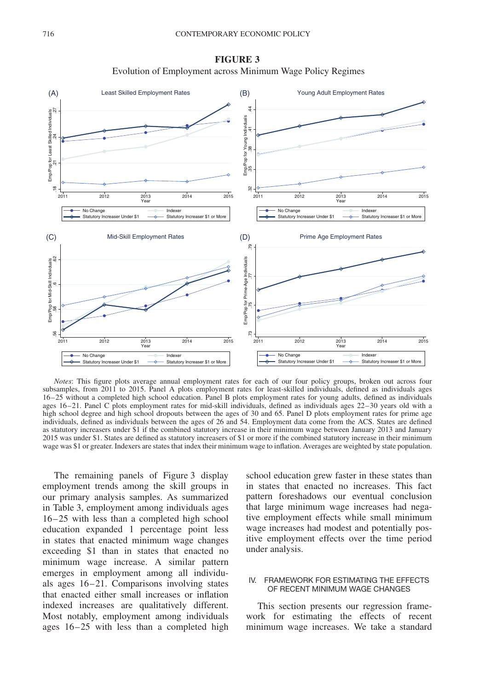



*Notes*: This figure plots average annual employment rates for each of our four policy groups, broken out across four subsamples, from 2011 to 2015. Panel A plots employment rates for least-skilled individuals, defined as individuals ages 16–25 without a completed high school education. Panel B plots employment rates for young adults, defined as individuals ages 16–21. Panel C plots employment rates for mid-skill individuals, defined as individuals ages 22–30 years old with a high school degree and high school dropouts between the ages of 30 and 65. Panel D plots employment rates for prime age individuals, defined as individuals between the ages of 26 and 54. Employment data come from the ACS. States are defined as statutory increasers under \$1 if the combined statutory increase in their minimum wage between January 2013 and January 2015 was under \$1. States are defined as statutory increasers of \$1 or more if the combined statutory increase in their minimum wage was \$1 or greater. Indexers are states that index their minimum wage to inflation. Averages are weighted by state population.

The remaining panels of Figure 3 display employment trends among the skill groups in our primary analysis samples. As summarized in Table 3, employment among individuals ages 16–25 with less than a completed high school education expanded 1 percentage point less in states that enacted minimum wage changes exceeding \$1 than in states that enacted no minimum wage increase. A similar pattern emerges in employment among all individuals ages 16–21. Comparisons involving states that enacted either small increases or inflation indexed increases are qualitatively different. Most notably, employment among individuals ages 16–25 with less than a completed high

school education grew faster in these states than in states that enacted no increases. This fact pattern foreshadows our eventual conclusion that large minimum wage increases had negative employment effects while small minimum wage increases had modest and potentially positive employment effects over the time period under analysis.

## IV. FRAMEWORK FOR ESTIMATING THE EFFECTS OF RECENT MINIMUM WAGE CHANGES

This section presents our regression framework for estimating the effects of recent minimum wage increases. We take a standard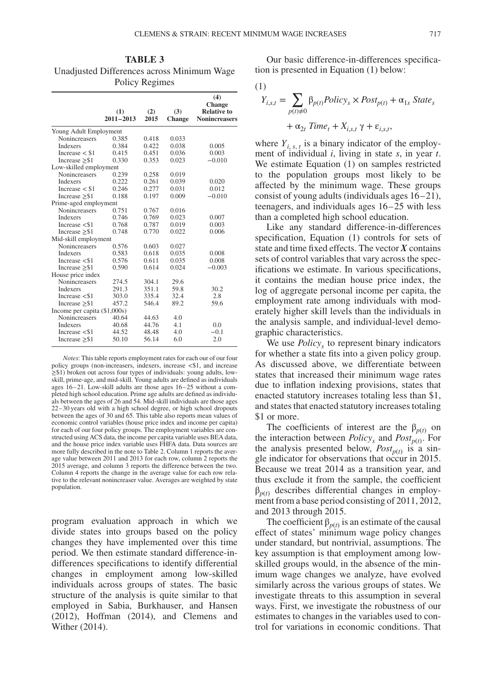**TABLE 3** Unadjusted Differences across Minimum Wage Policy Regimes

|                                | (1)<br>$2011 - 2013$ | (2)<br>2015 | (3)<br><b>Change</b> | (4)<br><b>Change</b><br><b>Relative to</b><br><b>Nonincreasers</b> |
|--------------------------------|----------------------|-------------|----------------------|--------------------------------------------------------------------|
| Young Adult Employment         |                      |             |                      |                                                                    |
| <b>Nonincreasers</b>           | 0.385                | 0.418       | 0.033                |                                                                    |
| <b>Indexers</b>                | 0.384                | 0.422       | 0.038                | 0.005                                                              |
| Increase $<$ \$1               | 0.415                | 0.451       | 0.036                | 0.003                                                              |
| Increase $\geq$ \$1            | 0.330                | 0.353       | 0.023                | $-0.010$                                                           |
| Low-skilled employment         |                      |             |                      |                                                                    |
| Nonincreasers                  | 0.239                | 0.258       | 0.019                |                                                                    |
| <b>Indexers</b>                | 0.222                | 0.261       | 0.039                | 0.020                                                              |
| Increase $<$ \$1               | 0.246                | 0.277       | 0.031                | 0.012                                                              |
| Increase $\geq$ \$1            | 0.188                | 0.197       | 0.009                | $-0.010$                                                           |
| Prime-aged employment          |                      |             |                      |                                                                    |
| Nonincreasers                  | 0.751                | 0.767       | 0.016                |                                                                    |
| Indexers                       | 0.746                | 0.769       | 0.023                | 0.007                                                              |
| Increase $<$ \$1               | 0.768                | 0.787       | 0.019                | 0.003                                                              |
| Increase $>$ \$1               | 0.748                | 0.770       | 0.022                | 0.006                                                              |
| Mid-skill employment           |                      |             |                      |                                                                    |
| Nonincreasers                  | 0.576                | 0.603       | 0.027                |                                                                    |
| <b>Indexers</b>                | 0.583                | 0.618       | 0.035                | 0.008                                                              |
| Increase $<$ \$1               | 0.576                | 0.611       | 0.035                | 0.008                                                              |
| Increase $\geq$ \$1            | 0.590                | 0.614       | 0.024                | $-0.003$                                                           |
| House price index              |                      |             |                      |                                                                    |
| Nonincreasers                  | 274.5                | 304.1       | 29.6                 |                                                                    |
| Indexers                       | 291.3                | 351.1       | 59.8                 | 30.2                                                               |
| Increase $<$ \$1               | 303.0                | 335.4       | 32.4                 | 2.8                                                                |
| Increase $\geq$ \$1            | 457.2                | 546.4       | 89.2                 | 59.6                                                               |
| Income per capita $(\$1,000s)$ |                      |             |                      |                                                                    |
| Nonincreasers                  | 40.64                | 44.63       | 4.0                  |                                                                    |
| Indexers                       | 40.68                | 44.76       | 4.1                  | 0.0                                                                |
| Increase $<$ \$1               | 44.52                | 48.48       | 4.0                  | $-0.1$                                                             |
| Increase $\geq$ \$1            | 50.10                | 56.14       | 6.0                  | 2.0                                                                |

*Notes*: This table reports employment rates for each our of our four policy groups (non-increasers, indexers, increase *<*\$1, and increase ≥\$1) broken out across four types of individuals: young adults, lowskill, prime-age, and mid-skill. Young adults are defined as individuals ages 16–21. Low-skill adults are those ages 16–25 without a completed high school education. Prime age adults are defined as individuals between the ages of 26 and 54. Mid-skill individuals are those ages 22–30 years old with a high school degree, or high school dropouts between the ages of 30 and 65. This table also reports mean values of economic control variables (house price index and income per capita) for each of our four policy groups. The employment variables are constructed using ACS data, the income per capita variable uses BEA data, and the house price index variable uses FHFA data. Data sources are more fully described in the note to Table 2. Column 1 reports the average value between 2011 and 2013 for each row, column 2 reports the 2015 average, and column 3 reports the difference between the two. Column 4 reports the change in the average value for each row relative to the relevant nonincreaser value. Averages are weighted by state population.

program evaluation approach in which we divide states into groups based on the policy changes they have implemented over this time period. We then estimate standard difference-indifferences specifications to identify differential changes in employment among low-skilled individuals across groups of states. The basic structure of the analysis is quite similar to that employed in Sabia, Burkhauser, and Hansen (2012), Hoffman (2014), and Clemens and Wither (2014).

Our basic difference-in-differences specification is presented in Equation (1) below:

$$
(1)
$$

$$
Y_{i,s,t} = \sum_{p(t)\neq 0} \beta_{p(t)}_{i}Policy_s \times Post_{p(t)} + \alpha_{1s} State_s
$$

$$
+ \alpha_{2t} Time_t + X_{i,s,t} \gamma + \varepsilon_{i,s,t},
$$

where  $Y_{i, s, t}$  is a binary indicator of the employment of individual *i*, living in state *s*, in year *t*. We estimate Equation (1) on samples restricted to the population groups most likely to be affected by the minimum wage. These groups consist of young adults (individuals ages 16–21), teenagers, and individuals ages 16–25 with less than a completed high school education.

Like any standard difference-in-differences specification, Equation (1) controls for sets of state and time fixed effects. The vector *X* contains sets of control variables that vary across the specifications we estimate. In various specifications, it contains the median house price index, the log of aggregate personal income per capita, the employment rate among individuals with moderately higher skill levels than the individuals in the analysis sample, and individual-level demographic characteristics.

We use *Policy*, to represent binary indicators for whether a state fits into a given policy group. As discussed above, we differentiate between states that increased their minimum wage rates due to inflation indexing provisions, states that enacted statutory increases totaling less than \$1, and states that enacted statutory increases totaling \$1 or more.

The coefficients of interest are the  $\beta_{p(t)}$  on the interaction between *Policy<sub>s</sub>* and *Post<sub>p</sub>* $(t)$ . For the analysis presented below,  $Post_{p(t)}$  is a single indicator for observations that occur in 2015. Because we treat 2014 as a transition year, and thus exclude it from the sample, the coefficient  $\beta_{p(t)}$  describes differential changes in employment from a base period consisting of 2011, 2012, and 2013 through 2015.

The coefficient  $\beta_{p(t)}$  is an estimate of the causal effect of states' minimum wage policy changes under standard, but nontrivial, assumptions. The key assumption is that employment among lowskilled groups would, in the absence of the minimum wage changes we analyze, have evolved similarly across the various groups of states. We investigate threats to this assumption in several ways. First, we investigate the robustness of our estimates to changes in the variables used to control for variations in economic conditions. That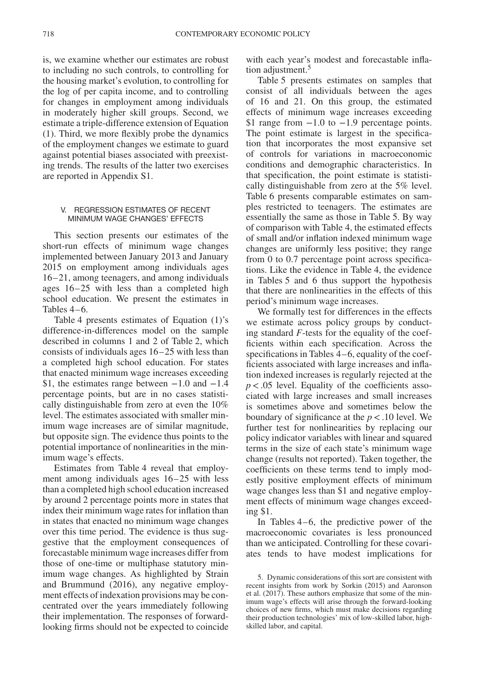is, we examine whether our estimates are robust to including no such controls, to controlling for the housing market's evolution, to controlling for the log of per capita income, and to controlling for changes in employment among individuals in moderately higher skill groups. Second, we estimate a triple-difference extension of Equation (1). Third, we more flexibly probe the dynamics of the employment changes we estimate to guard against potential biases associated with preexisting trends. The results of the latter two exercises are reported in Appendix S1.

### V. REGRESSION ESTIMATES OF RECENT MINIMUM WAGE CHANGES' EFFECTS

This section presents our estimates of the short-run effects of minimum wage changes implemented between January 2013 and January 2015 on employment among individuals ages 16–21, among teenagers, and among individuals ages 16–25 with less than a completed high school education. We present the estimates in Tables 4–6.

Table 4 presents estimates of Equation (1)'s difference-in-differences model on the sample described in columns 1 and 2 of Table 2, which consists of individuals ages 16–25 with less than a completed high school education. For states that enacted minimum wage increases exceeding \$1, the estimates range between  $-1.0$  and  $-1.4$ percentage points, but are in no cases statistically distinguishable from zero at even the 10% level. The estimates associated with smaller minimum wage increases are of similar magnitude, but opposite sign. The evidence thus points to the potential importance of nonlinearities in the minimum wage's effects.

Estimates from Table 4 reveal that employment among individuals ages 16–25 with less than a completed high school education increased by around 2 percentage points more in states that index their minimum wage rates for inflation than in states that enacted no minimum wage changes over this time period. The evidence is thus suggestive that the employment consequences of forecastable minimum wage increases differ from those of one-time or multiphase statutory minimum wage changes. As highlighted by Strain and Brummund (2016), any negative employment effects of indexation provisions may be concentrated over the years immediately following their implementation. The responses of forwardlooking firms should not be expected to coincide with each year's modest and forecastable infla-tion adjustment.<sup>[5](#page-7-0)</sup>

Table 5 presents estimates on samples that consist of all individuals between the ages of 16 and 21. On this group, the estimated effects of minimum wage increases exceeding \$1 range from  $-1.0$  to  $-1.9$  percentage points. The point estimate is largest in the specification that incorporates the most expansive set of controls for variations in macroeconomic conditions and demographic characteristics. In that specification, the point estimate is statistically distinguishable from zero at the 5% level. Table 6 presents comparable estimates on samples restricted to teenagers. The estimates are essentially the same as those in Table 5. By way of comparison with Table 4, the estimated effects of small and/or inflation indexed minimum wage changes are uniformly less positive; they range from 0 to 0.7 percentage point across specifications. Like the evidence in Table 4, the evidence in Tables 5 and 6 thus support the hypothesis that there are nonlinearities in the effects of this period's minimum wage increases.

We formally test for differences in the effects we estimate across policy groups by conducting standard *F*-tests for the equality of the coefficients within each specification. Across the specifications in Tables 4–6, equality of the coefficients associated with large increases and inflation indexed increases is regularly rejected at the *p<*.05 level. Equality of the coefficients associated with large increases and small increases is sometimes above and sometimes below the boundary of significance at the *p<*.10 level. We further test for nonlinearities by replacing our policy indicator variables with linear and squared terms in the size of each state's minimum wage change (results not reported). Taken together, the coefficients on these terms tend to imply modestly positive employment effects of minimum wage changes less than \$1 and negative employment effects of minimum wage changes exceeding \$1.

In Tables 4–6, the predictive power of the macroeconomic covariates is less pronounced than we anticipated. Controlling for these covariates tends to have modest implications for

<span id="page-7-0"></span><sup>5.</sup> Dynamic considerations of this sort are consistent with recent insights from work by Sorkin (2015) and Aaronson et al. (2017). These authors emphasize that some of the minimum wage's effects will arise through the forward-looking choices of new firms, which must make decisions regarding their production technologies' mix of low-skilled labor, highskilled labor, and capital.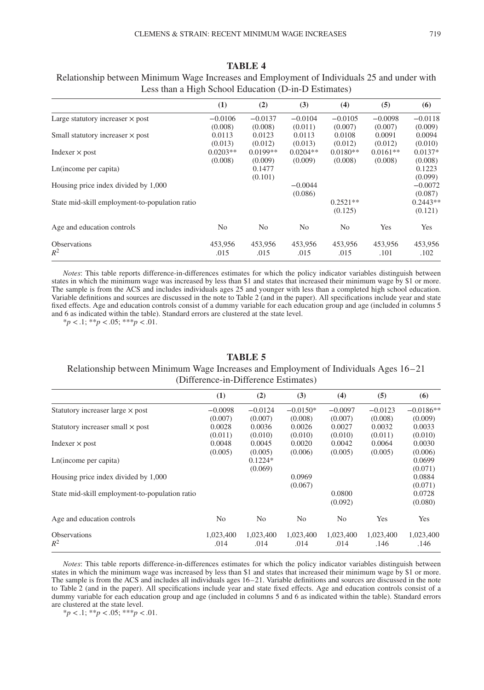| $\frac{1}{2}$                                  |                |            |                |                |            |            |  |  |
|------------------------------------------------|----------------|------------|----------------|----------------|------------|------------|--|--|
|                                                | (1)            | (2)        | (3)            | (4)            | (5)        | (6)        |  |  |
| Large statutory increaser $\times$ post        | $-0.0106$      | $-0.0137$  | $-0.0104$      | $-0.0105$      | $-0.0098$  | $-0.0118$  |  |  |
|                                                | (0.008)        | (0.008)    | (0.011)        | (0.007)        | (0.007)    | (0.009)    |  |  |
| Small statutory increaser $\times$ post        | 0.0113         | 0.0123     | 0.0113         | 0.0108         | 0.0091     | 0.0094     |  |  |
|                                                | (0.013)        | (0.012)    | (0.013)        | (0.012)        | (0.012)    | (0.010)    |  |  |
| Indexer $\times$ post                          | $0.0203**$     | $0.0199**$ | $0.0204**$     | $0.0180**$     | $0.0161**$ | $0.0137*$  |  |  |
|                                                | (0.008)        | (0.009)    | (0.009)        | (0.008)        | (0.008)    | (0.008)    |  |  |
| Ln(income per capita)                          |                | 0.1477     |                |                |            | 0.1223     |  |  |
|                                                |                | (0.101)    |                |                |            | (0.099)    |  |  |
| Housing price index divided by 1,000           |                |            | $-0.0044$      |                |            | $-0.0072$  |  |  |
|                                                |                |            | (0.086)        |                |            | (0.087)    |  |  |
| State mid-skill employment-to-population ratio |                |            |                | $0.2521**$     |            | $0.2443**$ |  |  |
|                                                |                |            |                | (0.125)        |            | (0.121)    |  |  |
| Age and education controls                     | N <sub>0</sub> | No.        | N <sub>o</sub> | N <sub>0</sub> | Yes        | Yes        |  |  |
| <b>Observations</b>                            | 453,956        | 453,956    | 453.956        | 453,956        | 453,956    | 453,956    |  |  |
| $R^2$                                          | .015           | .015       | .015           | .015           | .101       | .102       |  |  |

## **TABLE 4** Relationship between Minimum Wage Increases and Employment of Individuals 25 and under with Less than a High School Education (D-in-D Estimates)

*Notes*: This table reports difference-in-differences estimates for which the policy indicator variables distinguish between states in which the minimum wage was increased by less than \$1 and states that increased their minimum wage by \$1 or more. The sample is from the ACS and includes individuals ages 25 and younger with less than a completed high school education. Variable definitions and sources are discussed in the note to Table 2 (and in the paper). All specifications include year and state fixed effects. Age and education controls consist of a dummy variable for each education group and age (included in columns 5 and 6 as indicated within the table). Standard errors are clustered at the state level.

 $**p* < .1; ***p* < .05; ****p* < .01.$ 

## **TABLE 5**

## Relationship between Minimum Wage Increases and Employment of Individuals Ages 16–21 (Difference-in-Difference Estimates)

|                                                | (1)            | (2)       | (3)            | (4)            | (5)       | (6)         |
|------------------------------------------------|----------------|-----------|----------------|----------------|-----------|-------------|
| Statutory increaser large $\times$ post        | $-0.0098$      | $-0.0124$ | $-0.0150*$     | $-0.0097$      | $-0.0123$ | $-0.0186**$ |
|                                                | (0.007)        | (0.007)   | (0.008)        | (0.007)        | (0.008)   | (0.009)     |
| Statutory increaser small $\times$ post        | 0.0028         | 0.0036    | 0.0026         | 0.0027         | 0.0032    | 0.0033      |
|                                                | (0.011)        | (0.010)   | (0.010)        | (0.010)        | (0.011)   | (0.010)     |
| Indexer $\times$ post                          | 0.0048         | 0.0045    | 0.0020         | 0.0042         | 0.0064    | 0.0030      |
|                                                | (0.005)        | (0.005)   | (0.006)        | (0.005)        | (0.005)   | (0.006)     |
| Ln(income per capita)                          |                | $0.1224*$ |                |                |           | 0.0699      |
|                                                |                | (0.069)   |                |                |           | (0.071)     |
| Housing price index divided by 1,000           |                |           | 0.0969         |                |           | 0.0884      |
|                                                |                |           | (0.067)        |                |           | (0.071)     |
| State mid-skill employment-to-population ratio |                |           |                | 0.0800         |           | 0.0728      |
|                                                |                |           |                | (0.092)        |           | (0.080)     |
| Age and education controls                     | N <sub>0</sub> | No.       | N <sub>0</sub> | N <sub>o</sub> | Yes       | Yes         |
| <b>Observations</b>                            | 1,023,400      | 1,023,400 | 1,023,400      | 1,023,400      | 1,023,400 | 1,023,400   |
| $R^2$                                          | .014           | .014      | .014           | .014           | .146      | .146        |

*Notes*: This table reports difference-in-differences estimates for which the policy indicator variables distinguish between states in which the minimum wage was increased by less than \$1 and states that increased their minimum wage by \$1 or more. The sample is from the ACS and includes all individuals ages 16–21. Variable definitions and sources are discussed in the note to Table 2 (and in the paper). All specifications include year and state fixed effects. Age and education controls consist of a dummy variable for each education group and age (included in columns 5 and 6 as indicated within the table). Standard errors are clustered at the state level.

 $**p* < .1; ***p* < .05; ****p* < .01.$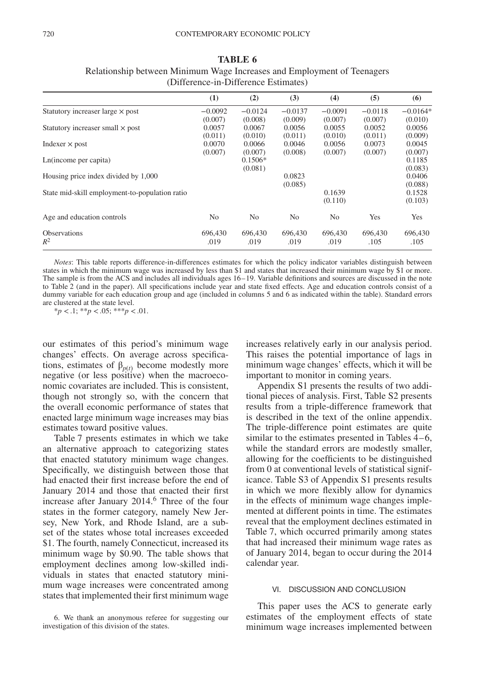|                                                | (1)            | (2)            | (3)            | (4)       | (5)       | (6)        |
|------------------------------------------------|----------------|----------------|----------------|-----------|-----------|------------|
| Statutory increaser large $\times$ post        | $-0.0092$      | $-0.0124$      | $-0.0137$      | $-0.0091$ | $-0.0118$ | $-0.0164*$ |
|                                                | (0.007)        | (0.008)        | (0.009)        | (0.007)   | (0.007)   | (0.010)    |
| Statutory increaser small $\times$ post        | 0.0057         | 0.0067         | 0.0056         | 0.0055    | 0.0052    | 0.0056     |
|                                                | (0.011)        | (0.010)        | (0.011)        | (0.010)   | (0.011)   | (0.009)    |
| Indexer $\times$ post                          | 0.0070         | 0.0066         | 0.0046         | 0.0056    | 0.0073    | 0.0045     |
|                                                | (0.007)        | (0.007)        | (0.008)        | (0.007)   | (0.007)   | (0.007)    |
| Ln(income per capita)                          |                | $0.1506*$      |                |           |           | 0.1185     |
|                                                |                | (0.081)        |                |           |           | (0.083)    |
| Housing price index divided by 1,000           |                |                | 0.0823         |           |           | 0.0406     |
|                                                |                |                | (0.085)        |           |           | (0.088)    |
| State mid-skill employment-to-population ratio |                |                |                | 0.1639    |           | 0.1528     |
|                                                |                |                |                | (0.110)   |           | (0.103)    |
|                                                |                |                |                |           |           |            |
| Age and education controls                     | N <sub>0</sub> | N <sub>0</sub> | N <sub>0</sub> | No.       | Yes       | Yes        |
| <b>Observations</b>                            | 696,430        | 696,430        | 696,430        | 696,430   | 696,430   | 696,430    |
| $R^2$                                          | .019           | .019           | .019           | .019      | .105      | .105       |
|                                                |                |                |                |           |           |            |

## **TABLE 6** Relationship between Minimum Wage Increases and Employment of Teenagers (Difference-in-Difference Estimates)

*Notes*: This table reports difference-in-differences estimates for which the policy indicator variables distinguish between states in which the minimum wage was increased by less than \$1 and states that increased their minimum wage by \$1 or more. The sample is from the ACS and includes all individuals ages 16–19. Variable definitions and sources are discussed in the note to Table 2 (and in the paper). All specifications include year and state fixed effects. Age and education controls consist of a dummy variable for each education group and age (included in columns 5 and 6 as indicated within the table). Standard errors are clustered at the state level.

\**p <*.1; \*\**p <*.05; \*\*\**p <*.01.

our estimates of this period's minimum wage changes' effects. On average across specifications, estimates of  $\beta_{p(t)}$  become modestly more negative (or less positive) when the macroeconomic covariates are included. This is consistent, though not strongly so, with the concern that the overall economic performance of states that enacted large minimum wage increases may bias estimates toward positive values.

Table 7 presents estimates in which we take an alternative approach to categorizing states that enacted statutory minimum wage changes. Specifically, we distinguish between those that had enacted their first increase before the end of January 2014 and those that enacted their first increase after January 2014.<sup>[6](#page-9-0)</sup> Three of the four states in the former category, namely New Jersey, New York, and Rhode Island, are a subset of the states whose total increases exceeded \$1. The fourth, namely Connecticut, increased its minimum wage by \$0.90. The table shows that employment declines among low-skilled individuals in states that enacted statutory minimum wage increases were concentrated among states that implemented their first minimum wage

increases relatively early in our analysis period. This raises the potential importance of lags in minimum wage changes' effects, which it will be important to monitor in coming years.

Appendix S1 presents the results of two additional pieces of analysis. First, Table S2 presents results from a triple-difference framework that is described in the text of the online appendix. The triple-difference point estimates are quite similar to the estimates presented in Tables 4–6, while the standard errors are modestly smaller, allowing for the coefficients to be distinguished from 0 at conventional levels of statistical significance. Table S3 of Appendix S1 presents results in which we more flexibly allow for dynamics in the effects of minimum wage changes implemented at different points in time. The estimates reveal that the employment declines estimated in Table 7, which occurred primarily among states that had increased their minimum wage rates as of January 2014, began to occur during the 2014 calendar year.

#### VI. DISCUSSION AND CONCLUSION

This paper uses the ACS to generate early estimates of the employment effects of state minimum wage increases implemented between

<span id="page-9-0"></span><sup>6.</sup> We thank an anonymous referee for suggesting our investigation of this division of the states.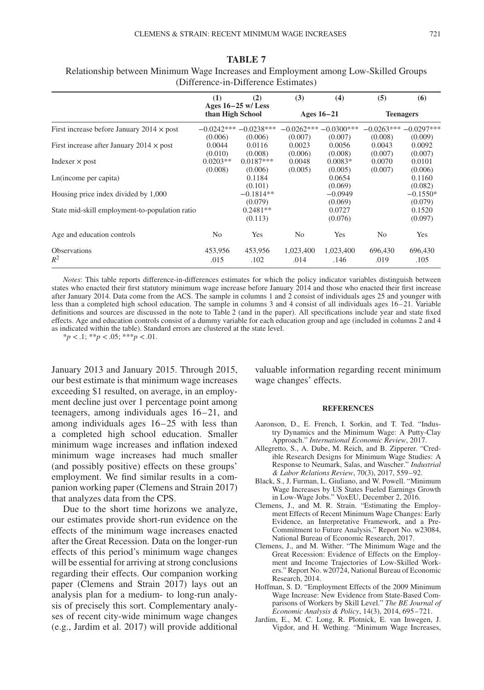|  |  | $\overline{I}$ |  |
|--|--|----------------|--|
|  |  |                |  |

|                                                  | (1)                   | (2)<br>Ages $16-25$ w/Less        | (3)                     | (4)                     | (5)                     | (6)                     |  |  |  |  |
|--------------------------------------------------|-----------------------|-----------------------------------|-------------------------|-------------------------|-------------------------|-------------------------|--|--|--|--|
|                                                  | than High School      |                                   |                         | Ages $16-21$            |                         | <b>Teenagers</b>        |  |  |  |  |
| First increase before January $2014 \times$ post | (0.006)               | $-0.0242***-0.0238***$<br>(0.006) | $-0.0262***$<br>(0.007) | $-0.0300***$<br>(0.007) | $-0.0263***$<br>(0.008) | $-0.0297***$<br>(0.009) |  |  |  |  |
| First increase after January 2014 $\times$ post  | 0.0044<br>(0.010)     | 0.0116<br>(0.008)                 | 0.0023<br>(0.006)       | 0.0056<br>(0.008)       | 0.0043<br>(0.007)       | 0.0092<br>(0.007)       |  |  |  |  |
| Indexer $\times$ post                            | $0.0203**$<br>(0.008) | $0.0187***$<br>(0.006)            | 0.0048<br>(0.005)       | $0.0083*$<br>(0.005)    | 0.0070<br>(0.007)       | 0.0101<br>(0.006)       |  |  |  |  |
| Ln(income per capita)                            |                       | 0.1184<br>(0.101)                 |                         | 0.0654<br>(0.069)       |                         | 0.1160<br>(0.082)       |  |  |  |  |
| Housing price index divided by 1,000             |                       | $-0.1814**$<br>(0.079)            |                         | $-0.0949$<br>(0.069)    |                         | $-0.1550*$<br>(0.079)   |  |  |  |  |
| State mid-skill employment-to-population ratio   |                       | $0.2481**$<br>(0.113)             |                         | 0.0727<br>(0.076)       |                         | 0.1520<br>(0.097)       |  |  |  |  |
| Age and education controls                       | N <sub>0</sub>        | Yes                               | No.                     | Yes                     | N <sub>0</sub>          | Yes                     |  |  |  |  |
| <b>Observations</b><br>$R^2$                     | 453,956<br>.015       | 453,956<br>.102                   | 1,023,400<br>.014       | 1,023,400<br>.146       | 696,430<br>.019         | 696,430<br>.105         |  |  |  |  |

## **TABLE 7** Relationship between Minimum Wage Increases and Employment among Low-Skilled Groups (Difference-in-Difference Estimates)

*Notes*: This table reports difference-in-differences estimates for which the policy indicator variables distinguish between states who enacted their first statutory minimum wage increase before January 2014 and those who enacted their first increase after January 2014. Data come from the ACS. The sample in columns 1 and 2 consist of individuals ages 25 and younger with less than a completed high school education. The sample in columns 3 and 4 consist of all individuals ages 16–21. Variable definitions and sources are discussed in the note to Table 2 (and in the paper). All specifications include year and state fixed effects. Age and education controls consist of a dummy variable for each education group and age (included in columns 2 and 4 as indicated within the table). Standard errors are clustered at the state level.

 $**p* < .1; ***p* < .05; ****p* < .01.$ 

January 2013 and January 2015. Through 2015, our best estimate is that minimum wage increases exceeding \$1 resulted, on average, in an employment decline just over 1 percentage point among teenagers, among individuals ages 16–21, and among individuals ages 16–25 with less than a completed high school education. Smaller minimum wage increases and inflation indexed minimum wage increases had much smaller (and possibly positive) effects on these groups' employment. We find similar results in a companion working paper (Clemens and Strain 2017) that analyzes data from the CPS.

Due to the short time horizons we analyze, our estimates provide short-run evidence on the effects of the minimum wage increases enacted after the Great Recession. Data on the longer-run effects of this period's minimum wage changes will be essential for arriving at strong conclusions regarding their effects. Our companion working paper (Clemens and Strain 2017) lays out an analysis plan for a medium- to long-run analysis of precisely this sort. Complementary analyses of recent city-wide minimum wage changes (e.g., Jardim et al. 2017) will provide additional valuable information regarding recent minimum wage changes' effects.

#### **REFERENCES**

- Aaronson, D., E. French, I. Sorkin, and T. Ted. "Industry Dynamics and the Minimum Wage: A Putty-Clay Approach." *International Economic Review*, 2017.
- Allegretto, S., A. Dube, M. Reich, and B. Zipperer. "Credible Research Designs for Minimum Wage Studies: A Response to Neumark, Salas, and Wascher." *Industrial & Labor Relations Review*, 70(3), 2017, 559–92.
- Black, S., J. Furman, L. Giuliano, and W. Powell. "Minimum Wage Increases by US States Fueled Earnings Growth in Low-Wage Jobs." VoxEU, December 2, 2016.
- Clemens, J., and M. R. Strain. "Estimating the Employment Effects of Recent Minimum Wage Changes: Early Evidence, an Interpretative Framework, and a Pre-Commitment to Future Analysis." Report No. w23084, National Bureau of Economic Research, 2017.
- Clemens, J., and M. Wither. "The Minimum Wage and the Great Recession: Evidence of Effects on the Employment and Income Trajectories of Low-Skilled Workers." Report No. w20724, National Bureau of Economic Research, 2014.
- Hoffman, S. D. "Employment Effects of the 2009 Minimum Wage Increase: New Evidence from State-Based Comparisons of Workers by Skill Level." *The BE Journal of Economic Analysis & Policy*, 14(3), 2014, 695–721.
- Jardim, E., M. C. Long, R. Plotnick, E. van Inwegen, J. Vigdor, and H. Wething. "Minimum Wage Increases,